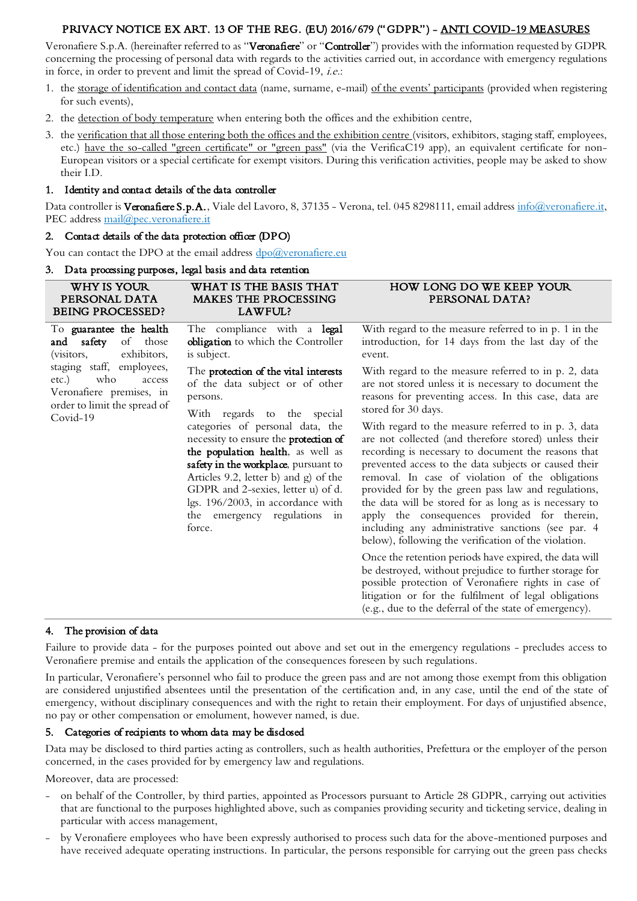## PRIVACY NOTICE EX ART. 13 OF THE REG. (EU) 2016/679 ("GDPR") - ANTI COVID-19 MEASURES

Veronafiere S.p.A. (hereinafter referred to as "Veronafiere" or "Controller") provides with the information requested by GDPR concerning the processing of personal data with regards to the activities carried out, in accordance with emergency regulations in force, in order to prevent and limit the spread of Covid-19, i.e.:

- 1. the storage of identification and contact data (name, surname, e-mail) of the events' participants (provided when registering for such events),
- 2. the detection of body temperature when entering both the offices and the exhibition centre,
- 3. the verification that all those entering both the offices and the exhibition centre (visitors, exhibitors, staging staff, employees, etc.) have the so-called "green certificate" or "green pass" (via the VerificaC19 app), an equivalent certificate for non-European visitors or a special certificate for exempt visitors. During this verification activities, people may be asked to show their I.D.

#### 1. Identity and contact details of the data controller

Data controller is Veronafiere S.p.A., Viale del Lavoro, 8, 37135 - Verona, tel. 045 8298111, email address info@veronafiere.it, PEC address [mail@pec.veronafiere.it](mailto:mail@pec.veronafiere.it)

### 2. Contact details of the data protection officer (DPO)

You can contact the DPO at the email address dpo@veronafiere.eu

#### 3. Data processing purposes, legal basis and data retention

| WHY IS YOUR<br>PERSONAL DATA<br><b>BEING PROCESSED?</b>                                                                                                                                                          | WHAT IS THE BASIS THAT<br>MAKES THE PROCESSING<br>LAWFUL?                                                                                                                                                                                                                                                                                                                                                                                   | HOW LONG DO WE KEEP YOUR<br>PERSONAL DATA?                                                                                                                                                                                                                                                                                                                                                                                                                                                                                                                       |
|------------------------------------------------------------------------------------------------------------------------------------------------------------------------------------------------------------------|---------------------------------------------------------------------------------------------------------------------------------------------------------------------------------------------------------------------------------------------------------------------------------------------------------------------------------------------------------------------------------------------------------------------------------------------|------------------------------------------------------------------------------------------------------------------------------------------------------------------------------------------------------------------------------------------------------------------------------------------------------------------------------------------------------------------------------------------------------------------------------------------------------------------------------------------------------------------------------------------------------------------|
| To guarantee the health<br>of<br>those<br>and safety<br>exhibitors,<br>(visitors,<br>staging staff, employees,<br>who<br>etc.)<br>access<br>Veronafiere premises, in<br>order to limit the spread of<br>Covid-19 | The compliance with a legal<br>obligation to which the Controller<br>is subject.                                                                                                                                                                                                                                                                                                                                                            | With regard to the measure referred to in p. 1 in the<br>introduction, for 14 days from the last day of the<br>event.                                                                                                                                                                                                                                                                                                                                                                                                                                            |
|                                                                                                                                                                                                                  | The protection of the vital interests<br>of the data subject or of other<br>persons.<br>With regards to the special<br>categories of personal data, the<br>necessity to ensure the protection of<br>the population health, as well as<br>safety in the workplace, pursuant to<br>Articles 9.2, letter b) and g) of the<br>GDPR and 2-sexies, letter u) of d.<br>lgs. 196/2003, in accordance with<br>the emergency regulations in<br>force. | With regard to the measure referred to in p. 2, data<br>are not stored unless it is necessary to document the<br>reasons for preventing access. In this case, data are<br>stored for 30 days.                                                                                                                                                                                                                                                                                                                                                                    |
|                                                                                                                                                                                                                  |                                                                                                                                                                                                                                                                                                                                                                                                                                             | With regard to the measure referred to in p. 3, data<br>are not collected (and therefore stored) unless their<br>recording is necessary to document the reasons that<br>prevented access to the data subjects or caused their<br>removal. In case of violation of the obligations<br>provided for by the green pass law and regulations,<br>the data will be stored for as long as is necessary to<br>apply the consequences provided for therein,<br>including any administrative sanctions (see par. 4<br>below), following the verification of the violation. |
|                                                                                                                                                                                                                  |                                                                                                                                                                                                                                                                                                                                                                                                                                             | Once the retention periods have expired, the data will<br>be destroyed, without prejudice to further storage for<br>possible protection of Veronafiere rights in case of<br>litigation or for the fulfilment of legal obligations<br>(e.g., due to the deferral of the state of emergency).                                                                                                                                                                                                                                                                      |

### 4. The provision of data

Failure to provide data - for the purposes pointed out above and set out in the emergency regulations - precludes access to Veronafiere premise and entails the application of the consequences foreseen by such regulations.

In particular, Veronafiere's personnel who fail to produce the green pass and are not among those exempt from this obligation are considered unjustified absentees until the presentation of the certification and, in any case, until the end of the state of emergency, without disciplinary consequences and with the right to retain their employment. For days of unjustified absence, no pay or other compensation or emolument, however named, is due.

#### 5. Categories of recipients to whom data may be disclosed

Data may be disclosed to third parties acting as controllers, such as health authorities, Prefettura or the employer of the person concerned, in the cases provided for by emergency law and regulations.

Moreover, data are processed:

- on behalf of the Controller, by third parties, appointed as Processors pursuant to Article 28 GDPR, carrying out activities that are functional to the purposes highlighted above, such as companies providing security and ticketing service, dealing in particular with access management,
- by Veronafiere employees who have been expressly authorised to process such data for the above-mentioned purposes and have received adequate operating instructions. In particular, the persons responsible for carrying out the green pass checks